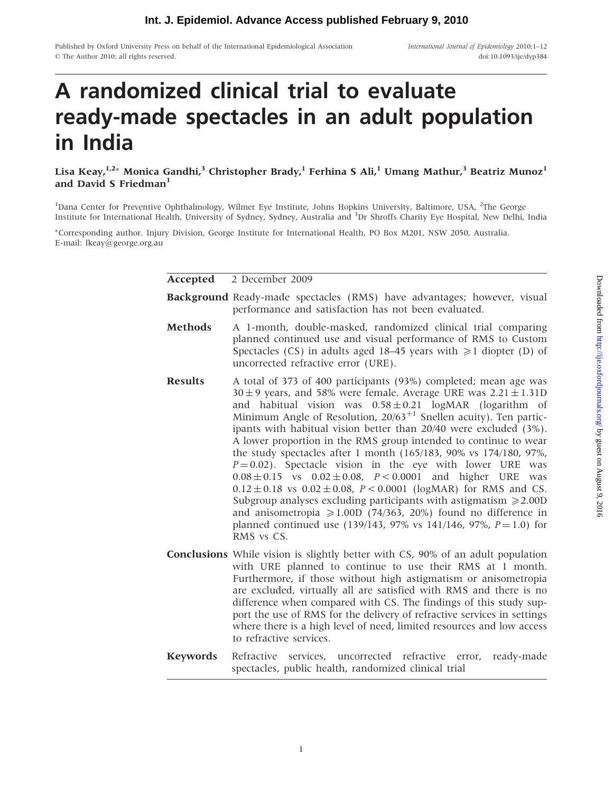## **Int. J. Epidemiol. Advance Access published February 9, 2010**

Published by Oxford University Press on behalf of the International Epidemiological Association  $©$  The Author 2010; all rights reserved.

International Journal of Epidemiology 2010;1–12 doi:10.1093/ije/dyp384

# A randomized clinical trial to evaluate ready-made spectacles in an adult population in India

Lisa Keay, $^{1,2\ast}$  Monica Gandhi, $^3$  Christopher Brady, $^1$  Ferhina S Ali, $^1$  Umang Mathur, $^3$  Beatriz Munoz $^1$ and David S Friedman $<sup>1</sup>$ </sup>

<sup>1</sup>Dana Center for Preventive Ophthalmology, Wilmer Eye Institute, Johns Hopkins University, Baltimore, USA, <sup>2</sup>The George Institute for International Health, University of Sydney, Sydney, Australia and <sup>3</sup> Dr Shroffs Charity Eye Hospital, New Delhi, India

-Corresponding author. Injury Division, George Institute for International Health, PO Box M201, NSW 2050, Australia. E-mail: lkeay@george.org.au

> Accepted 2 December 2009 Background Ready-made spectacles (RMS) have advantages; however, visual performance and satisfaction has not been evaluated. Methods A 1-month, double-masked, randomized clinical trial comparing planned continued use and visual performance of RMS to Custom Spectacles (CS) in adults aged 18–45 years with  $\geq 1$  diopter (D) of uncorrected refractive error (URE). Results A total of 373 of 400 participants (93%) completed; mean age was  $30 \pm 9$  years, and 58% were female. Average URE was  $2.21 \pm 1.31D$ and habitual vision was  $0.58 \pm 0.21$  logMAR (logarithm of Minimum Angle of Resolution,  $20/63^{+1}$  Snellen acuity). Ten participants with habitual vision better than 20/40 were excluded (3%). A lower proportion in the RMS group intended to continue to wear the study spectacles after 1 month (165/183, 90% vs 174/180, 97%,  $P = 0.02$ ). Spectacle vision in the eye with lower URE was  $0.08 \pm 0.15$  vs  $0.02 \pm 0.08$ ,  $P < 0.0001$  and higher URE was  $0.12 \pm 0.18$  vs  $0.02 \pm 0.08$ ,  $P < 0.0001$  (logMAR) for RMS and CS. Subgroup analyses excluding participants with astigmatism  $\geq 2.00D$ and anisometropia  $\geq$  1.00D (74/363, 20%) found no difference in planned continued use (139/143, 97% vs 141/146, 97%,  $P = 1.0$ ) for RMS vs CS. Conclusions While vision is slightly better with CS, 90% of an adult population with URE planned to continue to use their RMS at 1 month. Furthermore, if those without high astigmatism or anisometropia are excluded, virtually all are satisfied with RMS and there is no difference when compared with CS. The findings of this study support the use of RMS for the delivery of refractive services in settings where there is a high level of need, limited resources and low access to refractive services. Keywords Refractive services, uncorrected refractive error, ready-made

> spectacles, public health, randomized clinical trial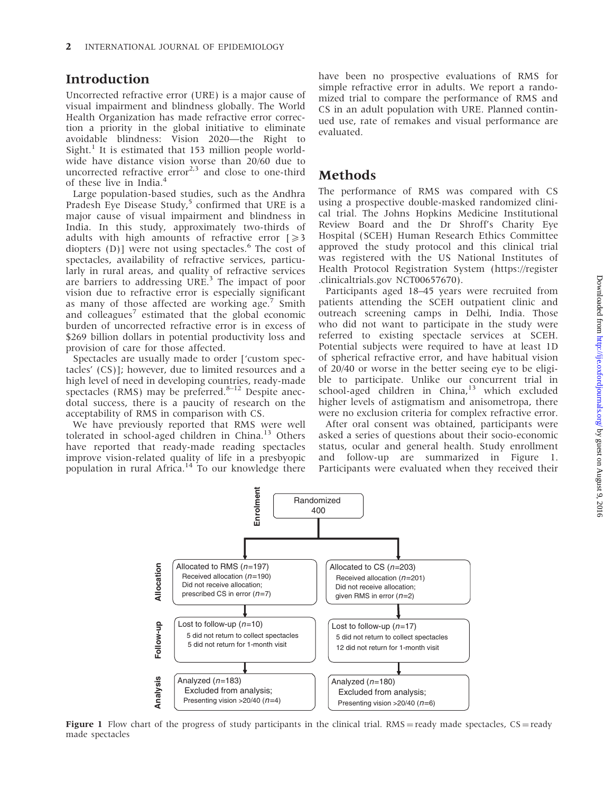## Introduction

Uncorrected refractive error (URE) is a major cause of visual impairment and blindness globally. The World Health Organization has made refractive error correction a priority in the global initiative to eliminate avoidable blindness: Vision 2020—the Right to  $Sight.$ <sup>1</sup> It is estimated that 153 million people worldwide have distance vision worse than 20/60 due to uncorrected refractive  $error<sup>2,3</sup>$  and close to one-third of these live in India.<sup>4</sup>

Large population-based studies, such as the Andhra Pradesh Eye Disease Study,<sup>5</sup> confirmed that URE is a major cause of visual impairment and blindness in India. In this study, approximately two-thirds of adults with high amounts of refractive error  $\geq 3$ diopters  $(D)$ ] were not using spectacles.<sup>6</sup> The cost of spectacles, availability of refractive services, particularly in rural areas, and quality of refractive services are barriers to addressing URE.<sup>3</sup> The impact of poor vision due to refractive error is especially significant as many of those affected are working age.<sup>7</sup> Smith and colleagues<sup>7</sup> estimated that the global economic burden of uncorrected refractive error is in excess of \$269 billion dollars in potential productivity loss and provision of care for those affected.

Spectacles are usually made to order ['custom spectacles' (CS)]; however, due to limited resources and a high level of need in developing countries, ready-made spectacles (RMS) may be preferred. $8-12$  Despite anecdotal success, there is a paucity of research on the acceptability of RMS in comparison with CS.

We have previously reported that RMS were well tolerated in school-aged children in China.<sup>13</sup> Others have reported that ready-made reading spectacles improve vision-related quality of life in a presbyopic population in rural Africa.<sup>14</sup> To our knowledge there

have been no prospective evaluations of RMS for simple refractive error in adults. We report a randomized trial to compare the performance of RMS and CS in an adult population with URE. Planned continued use, rate of remakes and visual performance are evaluated.

## Methods

The performance of RMS was compared with CS using a prospective double-masked randomized clinical trial. The Johns Hopkins Medicine Institutional Review Board and the Dr Shroff's Charity Eye Hospital (SCEH) Human Research Ethics Committee approved the study protocol and this clinical trial was registered with the US National Institutes of Health Protocol Registration System (<https://register> .clinicaltrials.gov NCT00657670).

Participants aged 18–45 years were recruited from patients attending the SCEH outpatient clinic and outreach screening camps in Delhi, India. Those who did not want to participate in the study were referred to existing spectacle services at SCEH. Potential subjects were required to have at least 1D of spherical refractive error, and have habitual vision of 20/40 or worse in the better seeing eye to be eligible to participate. Unlike our concurrent trial in school-aged children in China,<sup>13</sup> which excluded higher levels of astigmatism and anisometropa, there were no exclusion criteria for complex refractive error.

After oral consent was obtained, participants were asked a series of questions about their socio-economic status, ocular and general health. Study enrollment and follow-up are summarized in Figure 1. Participants were evaluated when they received their



Figure 1 Flow chart of the progress of study participants in the clinical trial.  $RMS =$ ready made spectacles,  $CS =$ ready made spectacles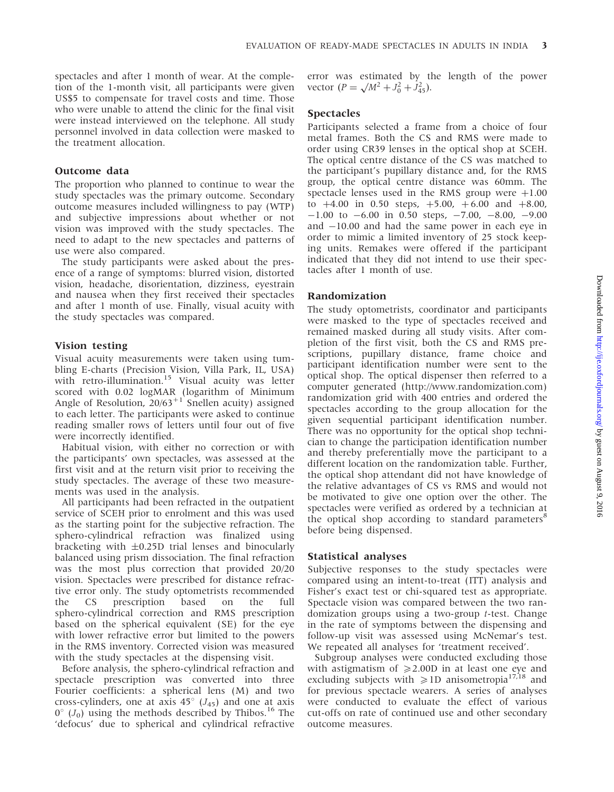spectacles and after 1 month of wear. At the completion of the 1-month visit, all participants were given US\$5 to compensate for travel costs and time. Those who were unable to attend the clinic for the final visit were instead interviewed on the telephone. All study personnel involved in data collection were masked to the treatment allocation.

#### Outcome data

The proportion who planned to continue to wear the study spectacles was the primary outcome. Secondary outcome measures included willingness to pay (WTP) and subjective impressions about whether or not vision was improved with the study spectacles. The need to adapt to the new spectacles and patterns of use were also compared.

The study participants were asked about the presence of a range of symptoms: blurred vision, distorted vision, headache, disorientation, dizziness, eyestrain and nausea when they first received their spectacles and after 1 month of use. Finally, visual acuity with the study spectacles was compared.

#### Vision testing

Visual acuity measurements were taken using tumbling E-charts (Precision Vision, Villa Park, IL, USA) with retro-illumination.<sup>15</sup> Visual acuity was letter scored with 0.02 logMAR (logarithm of Minimum Angle of Resolution,  $20/63$ <sup>+1</sup> Snellen acuity) assigned to each letter. The participants were asked to continue reading smaller rows of letters until four out of five were incorrectly identified.

Habitual vision, with either no correction or with the participants' own spectacles, was assessed at the first visit and at the return visit prior to receiving the study spectacles. The average of these two measurements was used in the analysis.

All participants had been refracted in the outpatient service of SCEH prior to enrolment and this was used as the starting point for the subjective refraction. The sphero-cylindrical refraction was finalized using bracketing with  $\pm 0.25D$  trial lenses and binocularly balanced using prism dissociation. The final refraction was the most plus correction that provided 20/20 vision. Spectacles were prescribed for distance refractive error only. The study optometrists recommended the CS prescription based on the full sphero-cylindrical correction and RMS prescription based on the spherical equivalent (SE) for the eye with lower refractive error but limited to the powers in the RMS inventory. Corrected vision was measured with the study spectacles at the dispensing visit.

Before analysis, the sphero-cylindrical refraction and spectacle prescription was converted into three Fourier coefficients: a spherical lens (M) and two cross-cylinders, one at axis  $45^{\circ}$  ( $J_{45}$ ) and one at axis  $0^{\circ}$  (J<sub>0</sub>) using the methods described by Thibos.<sup>16</sup> The 'defocus' due to spherical and cylindrical refractive error was estimated by the length of the power error was estimated by the vector  $(P = \sqrt{M^2 + J_0^2 + J_{45}^2})$ .

#### Spectacles

Participants selected a frame from a choice of four metal frames. Both the CS and RMS were made to order using CR39 lenses in the optical shop at SCEH. The optical centre distance of the CS was matched to the participant's pupillary distance and, for the RMS group, the optical centre distance was 60mm. The spectacle lenses used in the RMS group were  $+1.00$ to  $+4.00$  in 0.50 steps,  $+5.00$ ,  $+6.00$  and  $+8.00$ ,  $-1.00$  to  $-6.00$  in 0.50 steps,  $-7.00$ ,  $-8.00$ ,  $-9.00$ and  $-10.00$  and had the same power in each eye in order to mimic a limited inventory of 25 stock keeping units. Remakes were offered if the participant indicated that they did not intend to use their spectacles after 1 month of use.

#### Randomization

The study optometrists, coordinator and participants were masked to the type of spectacles received and remained masked during all study visits. After completion of the first visit, both the CS and RMS prescriptions, pupillary distance, frame choice and participant identification number were sent to the optical shop. The optical dispenser then referred to a computer generated [\(http://www.randomization.com\)](http://www.randomization.com) randomization grid with 400 entries and ordered the spectacles according to the group allocation for the given sequential participant identification number. There was no opportunity for the optical shop technician to change the participation identification number and thereby preferentially move the participant to a different location on the randomization table. Further, the optical shop attendant did not have knowledge of the relative advantages of CS vs RMS and would not be motivated to give one option over the other. The spectacles were verified as ordered by a technician at the optical shop according to standard parameters<sup>8</sup> before being dispensed.

#### Statistical analyses

Subjective responses to the study spectacles were compared using an intent-to-treat (ITT) analysis and Fisher's exact test or chi-squared test as appropriate. Spectacle vision was compared between the two randomization groups using a two-group t-test. Change in the rate of symptoms between the dispensing and follow-up visit was assessed using McNemar's test. We repeated all analyses for 'treatment received'.

Subgroup analyses were conducted excluding those with astigmatism of  $\geq 2.00D$  in at least one eye and excluding subjects with  $\geq 1D$  anisometropia<sup>17,18</sup> and for previous spectacle wearers. A series of analyses were conducted to evaluate the effect of various cut-offs on rate of continued use and other secondary outcome measures.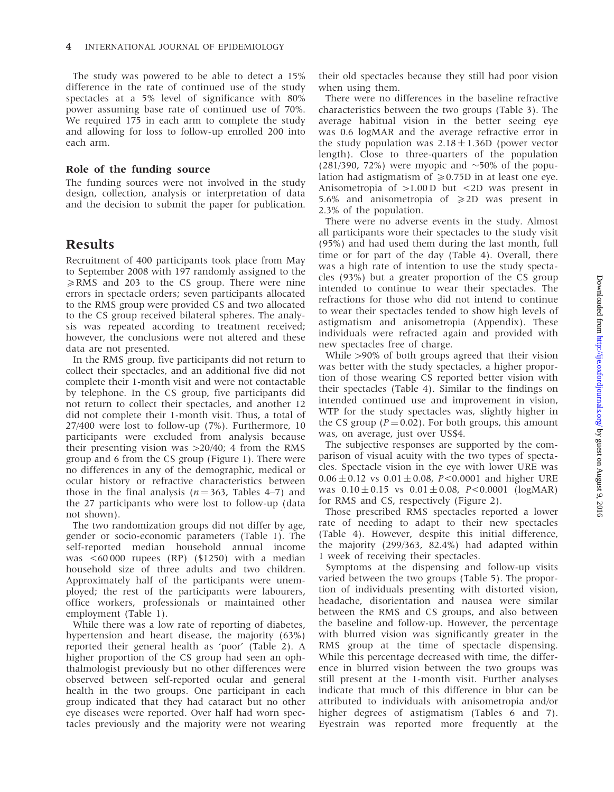The study was powered to be able to detect a 15% difference in the rate of continued use of the study spectacles at a 5% level of significance with 80% power assuming base rate of continued use of 70%. We required 175 in each arm to complete the study and allowing for loss to follow-up enrolled 200 into each arm.

#### Role of the funding source

The funding sources were not involved in the study design, collection, analysis or interpretation of data and the decision to submit the paper for publication.

## Results

Recruitment of 400 participants took place from May to September 2008 with 197 randomly assigned to the  $\geq$ RMS and 203 to the CS group. There were nine errors in spectacle orders; seven participants allocated to the RMS group were provided CS and two allocated to the CS group received bilateral spheres. The analysis was repeated according to treatment received; however, the conclusions were not altered and these data are not presented.

In the RMS group, five participants did not return to collect their spectacles, and an additional five did not complete their 1-month visit and were not contactable by telephone. In the CS group, five participants did not return to collect their spectacles, and another 12 did not complete their 1-month visit. Thus, a total of 27/400 were lost to follow-up (7%). Furthermore, 10 participants were excluded from analysis because their presenting vision was  $>20/40$ ; 4 from the RMS group and 6 from the CS group (Figure 1). There were no differences in any of the demographic, medical or ocular history or refractive characteristics between those in the final analysis ( $n = 363$ , Tables 4–7) and the 27 participants who were lost to follow-up (data not shown).

The two randomization groups did not differ by age, gender or socio-economic parameters (Table 1). The self-reported median household annual income was <60 000 rupees (RP) (\$1250) with a median household size of three adults and two children. Approximately half of the participants were unemployed; the rest of the participants were labourers, office workers, professionals or maintained other employment (Table 1).

While there was a low rate of reporting of diabetes, hypertension and heart disease, the majority (63%) reported their general health as 'poor' (Table 2). A higher proportion of the CS group had seen an ophthalmologist previously but no other differences were observed between self-reported ocular and general health in the two groups. One participant in each group indicated that they had cataract but no other eye diseases were reported. Over half had worn spectacles previously and the majority were not wearing

their old spectacles because they still had poor vision when using them.

There were no differences in the baseline refractive characteristics between the two groups (Table 3). The average habitual vision in the better seeing eye was 0.6 logMAR and the average refractive error in the study population was  $2.18 \pm 1.36$  (power vector length). Close to three-quarters of the population  $(281/390, 72\%)$  were myopic and  $\sim$ 50% of the population had astigmatism of  $\geq 0.75D$  in at least one eye. Anisometropia of  $>1.00$  D but  $<2$ D was present in 5.6% and anisometropia of  $\geq 2D$  was present in 2.3% of the population.

There were no adverse events in the study. Almost all participants wore their spectacles to the study visit (95%) and had used them during the last month, full time or for part of the day (Table 4). Overall, there was a high rate of intention to use the study spectacles (93%) but a greater proportion of the CS group intended to continue to wear their spectacles. The refractions for those who did not intend to continue to wear their spectacles tended to show high levels of astigmatism and anisometropia (Appendix). These individuals were refracted again and provided with new spectacles free of charge.

While >90% of both groups agreed that their vision was better with the study spectacles, a higher proportion of those wearing CS reported better vision with their spectacles (Table 4). Similar to the findings on intended continued use and improvement in vision, WTP for the study spectacles was, slightly higher in the CS group ( $P = 0.02$ ). For both groups, this amount was, on average, just over US\$4.

The subjective responses are supported by the comparison of visual acuity with the two types of spectacles. Spectacle vision in the eye with lower URE was  $0.06 \pm 0.12$  vs  $0.01 \pm 0.08$ , P<0.0001 and higher URE was  $0.10 \pm 0.15$  vs  $0.01 \pm 0.08$ ,  $P < 0.0001$  (logMAR) for RMS and CS, respectively (Figure 2).

Those prescribed RMS spectacles reported a lower rate of needing to adapt to their new spectacles (Table 4). However, despite this initial difference, the majority (299/363, 82.4%) had adapted within 1 week of receiving their spectacles.

Symptoms at the dispensing and follow-up visits varied between the two groups (Table 5). The proportion of individuals presenting with distorted vision, headache, disorientation and nausea were similar between the RMS and CS groups, and also between the baseline and follow-up. However, the percentage with blurred vision was significantly greater in the RMS group at the time of spectacle dispensing. While this percentage decreased with time, the difference in blurred vision between the two groups was still present at the 1-month visit. Further analyses indicate that much of this difference in blur can be attributed to individuals with anisometropia and/or higher degrees of astigmatism (Tables 6 and 7). Eyestrain was reported more frequently at the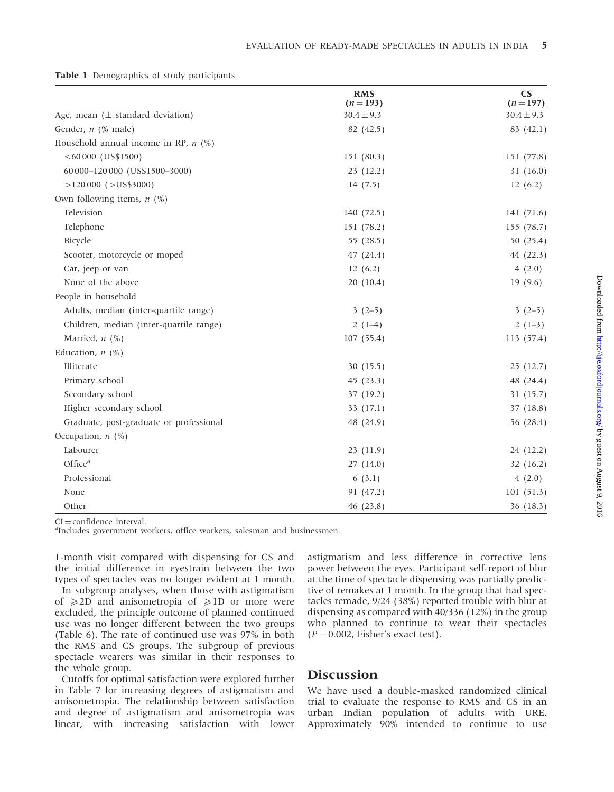|  | <b>Table 1</b> Demographics of study participants |  |  |
|--|---------------------------------------------------|--|--|
|--|---------------------------------------------------|--|--|

|                                         | <b>RMS</b><br>$(n=193)$ | $\mathbf{C}\mathbf{S}$<br>$(n=197)$ |
|-----------------------------------------|-------------------------|-------------------------------------|
| Age, mean $(\pm$ standard deviation)    | $30.4 \pm 9.3$          | $30.4 \pm 9.3$                      |
| Gender, $n$ (% male)                    | 82 (42.5)               | 83 (42.1)                           |
| Household annual income in RP, $n$ (%)  |                         |                                     |
| $<$ 60 000 (US\$1500)                   | 151 (80.3)              | 151 (77.8)                          |
| 60 000-120 000 (US\$1500-3000)          | 23(12.2)                | 31(16.0)                            |
| $>120000$ ( $>$ US\$3000)               | 14(7.5)                 | 12(6.2)                             |
| Own following items, $n$ (%)            |                         |                                     |
| Television                              | 140 (72.5)              | 141 (71.6)                          |
| Telephone                               | 151 (78.2)              | 155 (78.7)                          |
| Bicycle                                 | 55 (28.5)               | 50 (25.4)                           |
| Scooter, motorcycle or moped            | 47(24.4)                | 44 (22.3)                           |
| Car, jeep or van                        | 12(6.2)                 | 4(2.0)                              |
| None of the above                       | 20(10.4)                | 19(9.6)                             |
| People in household                     |                         |                                     |
| Adults, median (inter-quartile range)   | $3(2-5)$                | $3(2-5)$                            |
| Children, median (inter-quartile range) | $2(1-4)$                | $2(1-3)$                            |
| Married, $n$ (%)                        | 107(55.4)               | 113 (57.4)                          |
| Education, $n$ (%)                      |                         |                                     |
| Illiterate                              | 30(15.5)                | 25(12.7)                            |
| Primary school                          | 45(23.3)                | 48 (24.4)                           |
| Secondary school                        | 37 (19.2)               | 31(15.7)                            |
| Higher secondary school                 | 33(17.1)                | 37 (18.8)                           |
| Graduate, post-graduate or professional | 48 (24.9)               | 56 (28.4)                           |
| Occupation, $n$ (%)                     |                         |                                     |
| Labourer                                | 23(11.9)                | 24 (12.2)                           |
| Office <sup>a</sup>                     | 27(14.0)                | 32(16.2)                            |
| Professional                            | 6(3.1)                  | 4(2.0)                              |
| None                                    | 91 (47.2)               | 101(51.3)                           |
| Other                                   | 46 (23.8)               | 36 (18.3)                           |

 $CI =$  confidence interval.

<sup>a</sup>Includes government workers, office workers, salesman and businessmen.

1-month visit compared with dispensing for CS and the initial difference in eyestrain between the two types of spectacles was no longer evident at 1 month.

In subgroup analyses, when those with astigmatism of  $\geq$  2D and anisometropia of  $\geq$  1D or more were excluded, the principle outcome of planned continued use was no longer different between the two groups (Table 6). The rate of continued use was 97% in both the RMS and CS groups. The subgroup of previous spectacle wearers was similar in their responses to the whole group.

Cutoffs for optimal satisfaction were explored further in Table 7 for increasing degrees of astigmatism and anisometropia. The relationship between satisfaction and degree of astigmatism and anisometropia was linear, with increasing satisfaction with lower

astigmatism and less difference in corrective lens power between the eyes. Participant self-report of blur at the time of spectacle dispensing was partially predictive of remakes at 1 month. In the group that had spectacles remade, 9/24 (38%) reported trouble with blur at dispensing as compared with 40/336 (12%) in the group who planned to continue to wear their spectacles  $(P = 0.002$ , Fisher's exact test).

### **Discussion**

We have used a double-masked randomized clinical trial to evaluate the response to RMS and CS in an urban Indian population of adults with URE. Approximately 90% intended to continue to use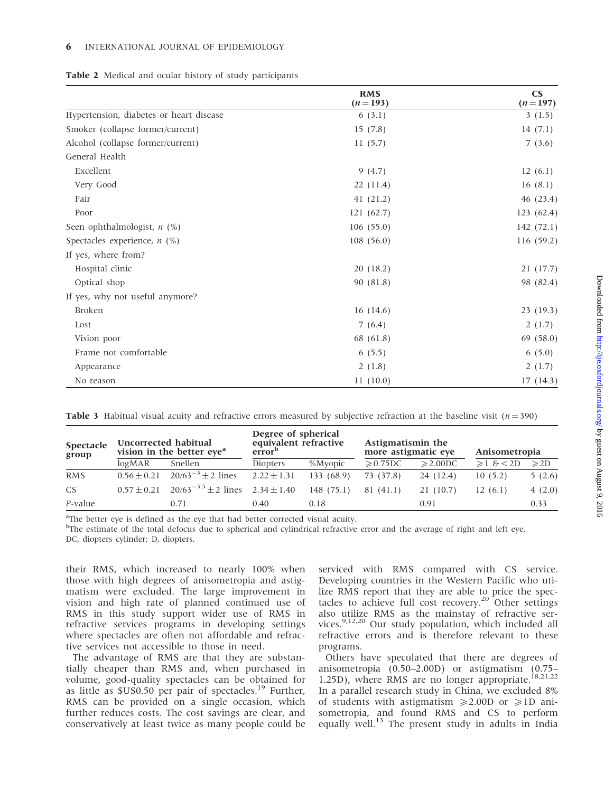| Table 2 Medical and ocular history of study participants |  |  |
|----------------------------------------------------------|--|--|
|----------------------------------------------------------|--|--|

|                                         | <b>RMS</b><br>$(n=193)$ | $\mathbf{C}\mathbf{S}$<br>$(n=197)$ |
|-----------------------------------------|-------------------------|-------------------------------------|
| Hypertension, diabetes or heart disease | 6(3.1)                  | 3(1.5)                              |
| Smoker (collapse former/current)        | 15(7.8)                 | 14(7.1)                             |
| Alcohol (collapse former/current)       | 11(5.7)                 | 7(3.6)                              |
| General Health                          |                         |                                     |
| Excellent                               | 9(4.7)                  | 12(6.1)                             |
| Very Good                               | 22(11.4)                | 16(8.1)                             |
| Fair                                    | 41 $(21.2)$             | 46 (23.4)                           |
| Poor                                    | 121(62.7)               | 123(62.4)                           |
| Seen ophthalmologist, $n$ (%)           | 106(55.0)               | 142(72.1)                           |
| Spectacles experience, $n$ (%)          | 108(56.0)               | 116 (59.2)                          |
| If yes, where from?                     |                         |                                     |
| Hospital clinic                         | 20(18.2)                | 21 (17.7)                           |
| Optical shop                            | 90 (81.8)               | 98 (82.4)                           |
| If yes, why not useful anymore?         |                         |                                     |
| <b>Broken</b>                           | 16(14.6)                | 23(19.3)                            |
| Lost                                    | 7(6.4)                  | 2(1.7)                              |
| Vision poor                             | 68 (61.8)               | 69(58.0)                            |
| Frame not comfortable                   | 6(5.5)                  | 6(5.0)                              |
| Appearance                              | 2(1.8)                  | 2(1.7)                              |
| No reason                               | 11(10.0)                | 17(14.3)                            |

|  |  |  | <b>Table 3</b> Habitual visual acuity and refractive errors measured by subjective refraction at the baseline visit ( $n=390$ ) |  |  |  |  |  |  |
|--|--|--|---------------------------------------------------------------------------------------------------------------------------------|--|--|--|--|--|--|
|--|--|--|---------------------------------------------------------------------------------------------------------------------------------|--|--|--|--|--|--|

| Uncorrected habitual<br>Spectacle<br>group |                 | vision in the better eye <sup>a</sup>      | Degree of spherical<br>equivalent refractive<br>error <sup>b</sup> |            | Astigmatismin the<br>more astigmatic eye |                    | Anisometropia   |                |
|--------------------------------------------|-----------------|--------------------------------------------|--------------------------------------------------------------------|------------|------------------------------------------|--------------------|-----------------|----------------|
|                                            | logMAR          | Snellen                                    | <b>Diopters</b>                                                    | %Myopic    | $\geqslant$ 0.75DC                       | $\geqslant$ 2.00DC | $\geq 1$ & < 2D | $\geqslant$ 2D |
| <b>RMS</b>                                 | $0.56 \pm 0.21$ | $20/63^{-3} \pm 2$ lines                   | $2.22 \pm 1.31$                                                    | 133 (68.9) | 73 (37.8)                                | 24 (12.4)          | 10(5.2)         | 5(2.6)         |
| CS.                                        | $0.57 \pm 0.21$ | $20/63^{-3.5} \pm 2$ lines $2.34 \pm 1.40$ |                                                                    | 148(75.1)  | 81(41.1)                                 | 21 (10.7)          | 12(6.1)         | 4(2.0)         |
| P-value                                    |                 | 0.71                                       | 0.40                                                               | 0.18       |                                          | 0.91               |                 | 0.33           |

<sup>a</sup>The better eye is defined as the eye that had better corrected visual acuity.

<sup>b</sup>The estimate of the total defocus due to spherical and cylindrical refractive error and the average of right and left eye. DC, diopters cylinder; D, diopters.

their RMS, which increased to nearly 100% when those with high degrees of anisometropia and astigmatism were excluded. The large improvement in vision and high rate of planned continued use of RMS in this study support wider use of RMS in refractive services programs in developing settings where spectacles are often not affordable and refractive services not accessible to those in need.

The advantage of RMS are that they are substantially cheaper than RMS and, when purchased in volume, good-quality spectacles can be obtained for as little as \$US0.50 per pair of spectacles.<sup>19</sup> Further, RMS can be provided on a single occasion, which further reduces costs. The cost savings are clear, and conservatively at least twice as many people could be

serviced with RMS compared with CS service. Developing countries in the Western Pacific who utilize RMS report that they are able to price the spectacles to achieve full cost recovery.<sup>20</sup> Other settings also utilize RMS as the mainstay of refractive services.<sup>9,12,20</sup> Our study population, which included all refractive errors and is therefore relevant to these programs.

Others have speculated that there are degrees of anisometropia (0.50–2.00D) or astigmatism (0.75– 1.25D), where RMS are no longer appropriate.<sup>18,21,22</sup> In a parallel research study in China, we excluded 8% of students with astigmatism  $\geq 2.00D$  or  $\geq 1D$  anisometropia, and found RMS and CS to perform equally well.<sup>13</sup> The present study in adults in India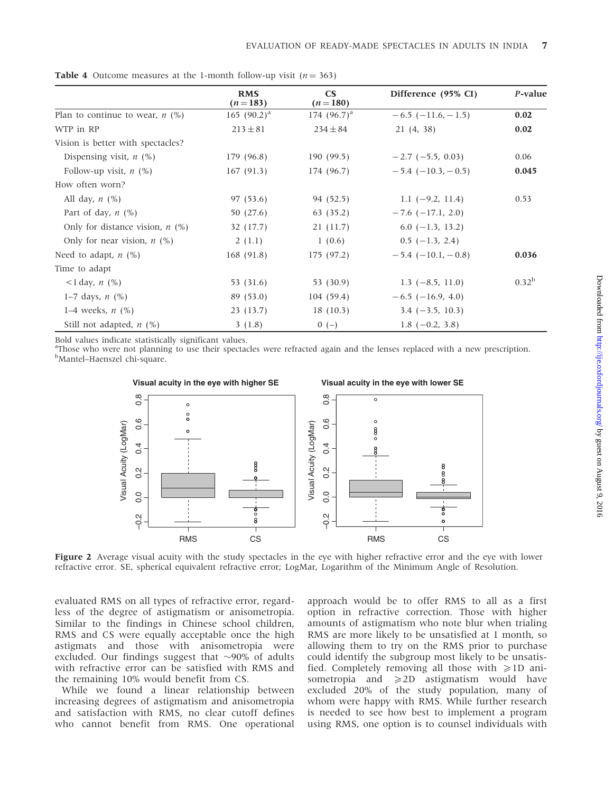|                                   | <b>RMS</b><br>$(n=183)$ | $\mathbf{C}\mathbf{S}$<br>$(n=180)$ | Difference (95% CI)         | P-value    |
|-----------------------------------|-------------------------|-------------------------------------|-----------------------------|------------|
| Plan to continue to wear, $n$ (%) | 165 $(90.2)^a$          | 174 $(96.7)^a$                      | $-6.5$ ( $-11.6$ , $-1.5$ ) | 0.02       |
| WTP in RP                         | $213 \pm 81$            | $234 \pm 84$                        | 21(4, 38)                   | 0.02       |
| Vision is better with spectacles? |                         |                                     |                             |            |
| Dispensing visit, $n$ (%)         | 179 (96.8)              | 190(99.5)                           | $-2.7$ (-5.5, 0.03)         | 0.06       |
| Follow-up visit, $n$ (%)          | 167(91.3)               | 174 (96.7)                          | $-5.4$ ( $-10.3$ , $-0.5$ ) | 0.045      |
| How often worn?                   |                         |                                     |                             |            |
| All day, $n$ $(\%)$               | 97 (53.6)               | 94 (52.5)                           | 1.1 $(-9.2, 11.4)$          | 0.53       |
| Part of day, $n$ (%)              | 50 (27.6)               | 63(35.2)                            | $-7.6$ ( $-17.1$ , 2.0)     |            |
| Only for distance vision, $n$ (%) | 32 (17.7)               | 21(11.7)                            | $6.0$ (-1.3, 13.2)          |            |
| Only for near vision, $n$ (%)     | 2(1.1)                  | 1(0.6)                              | $0.5$ (-1.3, 2.4)           |            |
| Need to adapt, $n$ (%)            | 168(91.8)               | 175 (97.2)                          | $-5.4$ ( $-10.1$ , $-0.8$ ) | 0.036      |
| Time to adapt                     |                         |                                     |                             |            |
| $1 \text{ day}, n \text{ (%)}$    | 53 (31.6)               | 53 (30.9)                           | $1.3$ (-8.5, 11.0)          | $0.32^{b}$ |
| 1–7 days, <i>n</i> $(\%)$         | 89(53.0)                | 104(59.4)                           | $-6.5$ ( $-16.9, 4.0$ )     |            |
| 1–4 weeks, $n$ (%)                | 23 (13.7)               | 18(10.3)                            | $3.4 (-3.5, 10.3)$          |            |
| Still not adapted, $n$ (%)        | 3(1.8)                  | $0(-)$                              | 1.8 $(-0.2, 3.8)$           |            |

**Table 4** Outcome measures at the 1-month follow-up visit ( $n = 363$ )

Bold values indicate statistically significant values.

<sup>a</sup>Those who were not planning to use their spectacles were refracted again and the lenses replaced with a new prescription. <sup>b</sup>Mantel–Haenszel chi-square.



Figure 2 Average visual acuity with the study spectacles in the eye with higher refractive error and the eye with lower refractive error. SE, spherical equivalent refractive error; LogMar, Logarithm of the Minimum Angle of Resolution.

evaluated RMS on all types of refractive error, regardless of the degree of astigmatism or anisometropia. Similar to the findings in Chinese school children, RMS and CS were equally acceptable once the high astigmats and those with anisometropia were excluded. Our findings suggest that  $\sim$ 90% of adults with refractive error can be satisfied with RMS and the remaining 10% would benefit from CS.

While we found a linear relationship between increasing degrees of astigmatism and anisometropia and satisfaction with RMS, no clear cutoff defines who cannot benefit from RMS. One operational

approach would be to offer RMS to all as a first option in refractive correction. Those with higher amounts of astigmatism who note blur when trialing RMS are more likely to be unsatisfied at 1 month, so allowing them to try on the RMS prior to purchase could identify the subgroup most likely to be unsatisfied. Completely removing all those with  $\geq 1D$  anisometropia and  $\geq$  2D astigmatism would have excluded 20% of the study population, many of whom were happy with RMS. While further research is needed to see how best to implement a program using RMS, one option is to counsel individuals with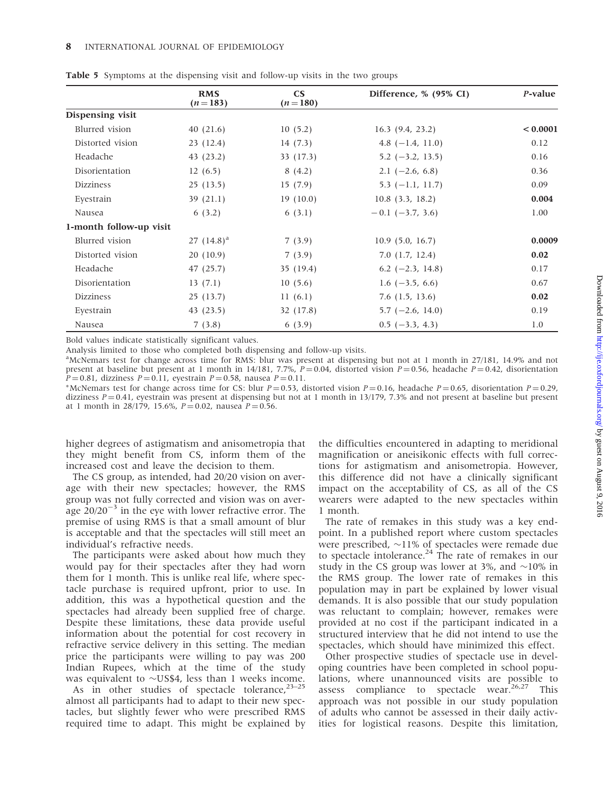|                         | <b>RMS</b><br>$(n=183)$ | $\mathbf{CS}$<br>$(n=180)$ | Difference, % (95% CI) | P-value  |
|-------------------------|-------------------------|----------------------------|------------------------|----------|
| Dispensing visit        |                         |                            |                        |          |
| Blurred vision          | 40(21.6)                | 10(5.2)                    | $16.3$ (9.4, 23.2)     | < 0.0001 |
| Distorted vision        | 23 (12.4)               | 14(7.3)                    | 4.8 $(-1.4, 11.0)$     | 0.12     |
| Headache                | 43(23.2)                | 33 (17.3)                  | $5.2$ ( $-3.2$ , 13.5) | 0.16     |
| Disorientation          | 12(6.5)                 | 8(4.2)                     | $2.1$ (-2.6, 6.8)      | 0.36     |
| <b>Dizziness</b>        | 25(13.5)                | 15(7.9)                    | $5.3$ (-1.1, 11.7)     | 0.09     |
| Eyestrain               | 39(21.1)                | 19(10.0)                   | $10.8$ $(3.3, 18.2)$   | 0.004    |
| Nausea                  | 6(3.2)                  | 6(3.1)                     | $-0.1$ (-3.7, 3.6)     | 1.00     |
| 1-month follow-up visit |                         |                            |                        |          |
| Blurred vision          | 27 $(14.8)^a$           | 7(3.9)                     | 10.9(5.0, 16.7)        | 0.0009   |
| Distorted vision        | 20(10.9)                | 7(3.9)                     | 7.0(1.7, 12.4)         | 0.02     |
| Headache                | 47 (25.7)               | 35(19.4)                   | 6.2 $(-2.3, 14.8)$     | 0.17     |
| Disorientation          | 13(7.1)                 | 10(5.6)                    | 1.6 $(-3.5, 6.6)$      | 0.67     |
| <b>Dizziness</b>        | 25 (13.7)               | 11(6.1)                    | $7.6$ (1.5, 13.6)      | 0.02     |
| Eyestrain               | 43 (23.5)               | 32 (17.8)                  | $5.7$ (-2.6, 14.0)     | 0.19     |
| Nausea                  | 7(3.8)                  | 6(3.9)                     | $0.5$ (-3.3, 4.3)      | 1.0      |

Table 5 Symptoms at the dispensing visit and follow-up visits in the two groups

Bold values indicate statistically significant values.

Analysis limited to those who completed both dispensing and follow-up visits.

a McNemars test for change across time for RMS: blur was present at dispensing but not at 1 month in 27/181, 14.9% and not present at baseline but present at 1 month in 14/181, 7.7%,  $P = 0.04$ , distorted vision  $P = 0.56$ , headache  $P = 0.42$ , disorientation  $P = 0.81$ , dizziness  $P = 0.11$ , eyestrain  $P = 0.58$ , nausea  $P = 0.11$ .

\*McNemars test for change across time for CS: blur  $P = 0.53$ , distorted vision  $P = 0.16$ , headache  $P = 0.65$ , disorientation  $P = 0.29$ , dizziness  $P = 0.41$ , eyestrain was present at dispensing but not at 1 month in 13/179, 7.3% and not present at baseline but present at 1 month in 28/179, 15.6%,  $P = 0.02$ , nausea  $P = 0.56$ .

higher degrees of astigmatism and anisometropia that they might benefit from CS, inform them of the increased cost and leave the decision to them.

The CS group, as intended, had 20/20 vision on average with their new spectacles; however, the RMS group was not fully corrected and vision was on average  $20/20^{-3}$  in the eye with lower refractive error. The premise of using RMS is that a small amount of blur is acceptable and that the spectacles will still meet an individual's refractive needs.

The participants were asked about how much they would pay for their spectacles after they had worn them for 1 month. This is unlike real life, where spectacle purchase is required upfront, prior to use. In addition, this was a hypothetical question and the spectacles had already been supplied free of charge. Despite these limitations, these data provide useful information about the potential for cost recovery in refractive service delivery in this setting. The median price the participants were willing to pay was 200 Indian Rupees, which at the time of the study was equivalent to  $\sim$ US\$4, less than 1 weeks income.

As in other studies of spectacle tolerance,  $23-25$ almost all participants had to adapt to their new spectacles, but slightly fewer who were prescribed RMS required time to adapt. This might be explained by the difficulties encountered in adapting to meridional magnification or aneisikonic effects with full corrections for astigmatism and anisometropia. However, this difference did not have a clinically significant impact on the acceptability of CS, as all of the CS wearers were adapted to the new spectacles within 1 month.

The rate of remakes in this study was a key endpoint. In a published report where custom spectacles were prescribed,  $\sim$ 11% of spectacles were remade due to spectacle intolerance. $^{24}$  The rate of remakes in our study in the CS group was lower at 3%, and  $\sim$ 10% in the RMS group. The lower rate of remakes in this population may in part be explained by lower visual demands. It is also possible that our study population was reluctant to complain; however, remakes were provided at no cost if the participant indicated in a structured interview that he did not intend to use the spectacles, which should have minimized this effect.

Other prospective studies of spectacle use in developing countries have been completed in school populations, where unannounced visits are possible to assess compliance to spectacle wear.<sup>26,27</sup> This approach was not possible in our study population of adults who cannot be assessed in their daily activities for logistical reasons. Despite this limitation,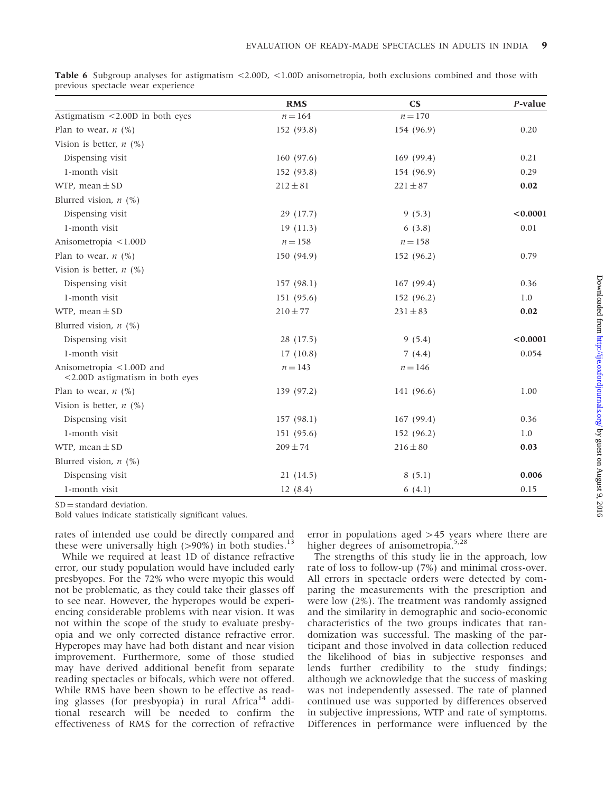|                                                                | <b>RMS</b>   | $\mathbf{C}\mathbf{S}$ | P-value  |
|----------------------------------------------------------------|--------------|------------------------|----------|
| Astigmatism $\leq$ 2.00D in both eyes                          | $n = 164$    | $n = 170$              |          |
| Plan to wear, $n$ (%)                                          | 152 (93.8)   | 154 (96.9)             | 0.20     |
| Vision is better, $n$ (%)                                      |              |                        |          |
| Dispensing visit                                               | 160(97.6)    | 169(99.4)              | 0.21     |
| 1-month visit                                                  | 152 (93.8)   | 154 (96.9)             | 0.29     |
| WTP, mean $\pm$ SD                                             | $212 \pm 81$ | $221 \pm 87$           | 0.02     |
| Blurred vision, $n$ (%)                                        |              |                        |          |
| Dispensing visit                                               | 29 (17.7)    | 9(5.3)                 | < 0.0001 |
| 1-month visit                                                  | 19(11.3)     | 6(3.8)                 | 0.01     |
| Anisometropia <1.00D                                           | $n = 158$    | $n = 158$              |          |
| Plan to wear, $n$ (%)                                          | 150 (94.9)   | 152 (96.2)             | 0.79     |
| Vision is better, $n$ (%)                                      |              |                        |          |
| Dispensing visit                                               | 157(98.1)    | 167(99.4)              | 0.36     |
| 1-month visit                                                  | 151 (95.6)   | 152 (96.2)             | 1.0      |
| WTP, mean $\pm$ SD                                             | $210 \pm 77$ | $231 \pm 83$           | 0.02     |
| Blurred vision, $n$ (%)                                        |              |                        |          |
| Dispensing visit                                               | 28 (17.5)    | 9(5.4)                 | < 0.0001 |
| 1-month visit                                                  | 17(10.8)     | 7(4.4)                 | 0.054    |
| Anisometropia <1.00D and<br>$<$ 2.00D astigmatism in both eyes | $n = 143$    | $n = 146$              |          |
| Plan to wear, $n$ (%)                                          | 139 (97.2)   | 141 (96.6)             | 1.00     |
| Vision is better, $n$ (%)                                      |              |                        |          |
| Dispensing visit                                               | 157(98.1)    | 167(99.4)              | 0.36     |
| 1-month visit                                                  | 151 (95.6)   | 152 (96.2)             | 1.0      |
| WTP, mean $\pm$ SD                                             | $209 \pm 74$ | $216 \pm 80$           | 0.03     |
| Blurred vision, $n$ (%)                                        |              |                        |          |
| Dispensing visit                                               | 21(14.5)     | 8(5.1)                 | 0.006    |
| 1-month visit                                                  | 12(8.4)      | 6(4.1)                 | 0.15     |

Table 6 Subgroup analyses for astigmatism <2.00D, <1.00D anisometropia, both exclusions combined and those with previous spectacle wear experience

 $SD = standard deviation$ .

Bold values indicate statistically significant values.

rates of intended use could be directly compared and these were universally high  $(>90%)$  in both studies.<sup>13</sup>

While we required at least 1D of distance refractive error, our study population would have included early presbyopes. For the 72% who were myopic this would not be problematic, as they could take their glasses off to see near. However, the hyperopes would be experiencing considerable problems with near vision. It was not within the scope of the study to evaluate presbyopia and we only corrected distance refractive error. Hyperopes may have had both distant and near vision improvement. Furthermore, some of those studied may have derived additional benefit from separate reading spectacles or bifocals, which were not offered. While RMS have been shown to be effective as reading glasses (for presbyopia) in rural Africa<sup>14</sup> additional research will be needed to confirm the effectiveness of RMS for the correction of refractive error in populations aged  $>45$  years where there are higher degrees of anisometropia.<sup>5,28</sup>

The strengths of this study lie in the approach, low rate of loss to follow-up (7%) and minimal cross-over. All errors in spectacle orders were detected by comparing the measurements with the prescription and were low (2%). The treatment was randomly assigned and the similarity in demographic and socio-economic characteristics of the two groups indicates that randomization was successful. The masking of the participant and those involved in data collection reduced the likelihood of bias in subjective responses and lends further credibility to the study findings; although we acknowledge that the success of masking was not independently assessed. The rate of planned continued use was supported by differences observed in subjective impressions, WTP and rate of symptoms. Differences in performance were influenced by the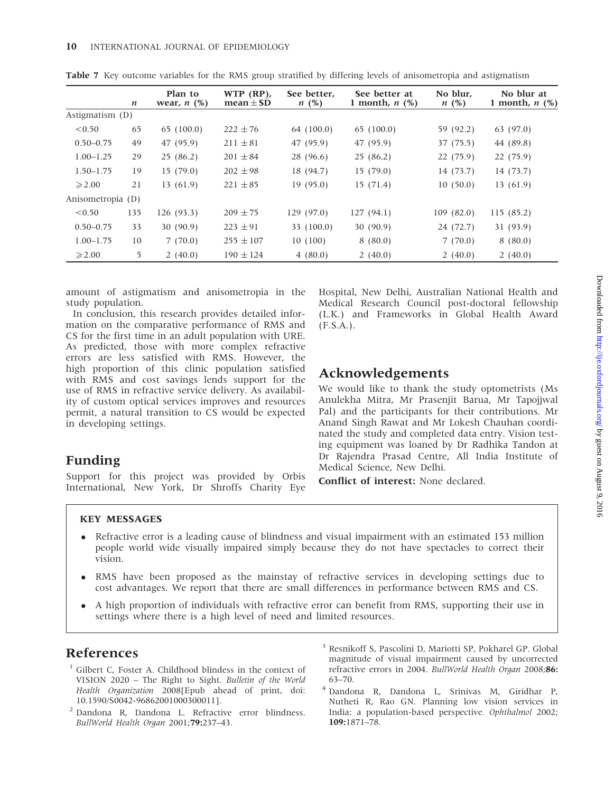|                   | n   | Plan to<br>wear, $n$ $(\%)$ | $WTP$ (RP),<br>$mean \pm SD$ | See better.<br>$n \ (\%)$ | See better at<br>1 month, $n$ $(\%)$ | No blur.<br>$n \ (\%)$ | No blur at<br>1 month, $n$ (%) |
|-------------------|-----|-----------------------------|------------------------------|---------------------------|--------------------------------------|------------------------|--------------------------------|
| Astigmatism $(D)$ |     |                             |                              |                           |                                      |                        |                                |
| < 0.50            | 65  | 65(100.0)                   | $222 \pm 76$                 | 64 (100.0)                | 65(100.0)                            | 59 (92.2)              | 63(97.0)                       |
| $0.50 - 0.75$     | 49  | 47 (95.9)                   | $211 \pm 81$                 | 47 (95.9)                 | 47 (95.9)                            | 37 (75.5)              | 44 (89.8)                      |
| $1.00 - 1.25$     | 29  | 25(86.2)                    | $201 \pm 84$                 | 28 (96.6)                 | 25 (86.2)                            | 22(75.9)               | 22 (75.9)                      |
| $1.50 - 1.75$     | 19  | 15(79.0)                    | $202 \pm 98$                 | 18 (94.7)                 | 15(79.0)                             | 14 (73.7)              | 14 (73.7)                      |
| $\geqslant$ 2.00  | 21  | 13 (61.9)                   | $221 \pm 85$                 | 19(95.0)                  | 15(71.4)                             | 10(50.0)               | 13(61.9)                       |
| Anisometropia (D) |     |                             |                              |                           |                                      |                        |                                |
| < 0.50            | 135 | 126(93.3)                   | $209 \pm 75$                 | 129(97.0)                 | 127(94.1)                            | 109(82.0)              | 115(85.2)                      |
| $0.50 - 0.75$     | 33  | 30(90.9)                    | $223 \pm 91$                 | 33 (100.0)                | 30(90.9)                             | 24 (72.7)              | 31(93.9)                       |
| $1.00 - 1.75$     | 10  | 7(70.0)                     | $255 \pm 107$                | 10(100)                   | 8(80.0)                              | 7(70.0)                | 8(80.0)                        |
| $\geqslant$ 2.00  | 5   | 2(40.0)                     | $190 \pm 124$                | 4(80.0)                   | 2(40.0)                              | 2(40.0)                | 2(40.0)                        |

Table 7 Key outcome variables for the RMS group stratified by differing levels of anisometropia and astigmatism

amount of astigmatism and anisometropia in the study population.

In conclusion, this research provides detailed information on the comparative performance of RMS and CS for the first time in an adult population with URE. As predicted, those with more complex refractive errors are less satisfied with RMS. However, the high proportion of this clinic population satisfied with RMS and cost savings lends support for the use of RMS in refractive service delivery. As availability of custom optical services improves and resources permit, a natural transition to CS would be expected in developing settings.

Hospital, New Delhi, Australian National Health and Medical Research Council post-doctoral fellowship (L.K.) and Frameworks in Global Health Award (F.S.A.).

## Acknowledgements

We would like to thank the study optometrists (Ms Anulekha Mitra, Mr Prasenjit Barua, Mr Tapojjwal Pal) and the participants for their contributions. Mr Anand Singh Rawat and Mr Lokesh Chauhan coordinated the study and completed data entry. Vision testing equipment was loaned by Dr Radhika Tandon at Dr Rajendra Prasad Centre, All India Institute of Medical Science, New Delhi.

Conflict of interest: None declared.

## Funding

Support for this project was provided by Orbis International, New York, Dr Shroffs Charity Eye

#### KEY MESSAGES

- Refractive error is a leading cause of blindness and visual impairment with an estimated 153 million people world wide visually impaired simply because they do not have spectacles to correct their vision.
- RMS have been proposed as the mainstay of refractive services in developing settings due to cost advantages. We report that there are small differences in performance between RMS and CS.
- A high proportion of individuals with refractive error can benefit from RMS, supporting their use in settings where there is a high level of need and limited resources.

## References

- <sup>1</sup> Gilbert C, Foster A. Childhood blindess in the context of VISION 2020 – The Right to Sight. Bulletin of the World Health Organization 2008[Epub ahead of print, doi: 10.1590/S0042-96862001000300011].
- <sup>2</sup> Dandona R, Dandona L. Refractive error blindness. BullWorld Health Organ 2001;79:237–43.
- <sup>3</sup> Resnikoff S, Pascolini D, Mariotti SP, Pokharel GP. Global magnitude of visual impairment caused by uncorrected refractive errors in 2004. BullWorld Health Organ 2008;86: 63–70.
- <sup>4</sup> Dandona R, Dandona L, Srinivas M, Giridhar P, Nutheti R, Rao GN. Planning low vision services in India: a population-based perspective. Ophthalmol 2002; 109:1871–78.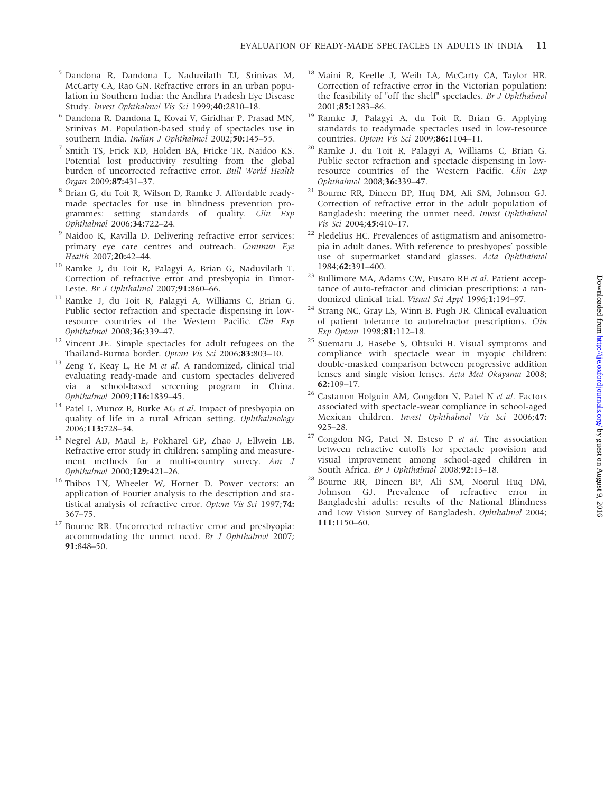- <sup>5</sup> Dandona R, Dandona L, Naduvilath TJ, Srinivas M, McCarty CA, Rao GN. Refractive errors in an urban population in Southern India: the Andhra Pradesh Eye Disease Study. Invest Ophthalmol Vis Sci 1999;40:2810–18.
- <sup>6</sup> Dandona R, Dandona L, Kovai V, Giridhar P, Prasad MN, Srinivas M. Population-based study of spectacles use in southern India. Indian J Ophthalmol 2002;50:145-55.
- <sup>7</sup> Smith TS, Frick KD, Holden BA, Fricke TR, Naidoo KS. Potential lost productivity resulting from the global burden of uncorrected refractive error. Bull World Health Organ 2009;87:431–37.
- <sup>8</sup> Brian G, du Toit R, Wilson D, Ramke J. Affordable readymade spectacles for use in blindness prevention programmes: setting standards of quality. Clin Exp Ophthalmol 2006;34:722–24.
- <sup>9</sup> Naidoo K, Ravilla D. Delivering refractive error services: primary eye care centres and outreach. Commun Eye Health 2007;20:42–44.
- <sup>10</sup> Ramke J, du Toit R, Palagyi A, Brian G, Naduvilath T. Correction of refractive error and presbyopia in Timor-Leste. Br J Ophthalmol 2007;91:860-66.
- <sup>11</sup> Ramke J, du Toit R, Palagyi A, Williams C, Brian G. Public sector refraction and spectacle dispensing in lowresource countries of the Western Pacific. Clin Exp Ophthalmol 2008;36:339–47.
- <sup>12</sup> Vincent JE. Simple spectacles for adult refugees on the Thailand-Burma border. Optom Vis Sci 2006;83:803–10.
- $13$  Zeng Y, Keay L, He M et al. A randomized, clinical trial evaluating ready-made and custom spectacles delivered via a school-based screening program in China. Ophthalmol 2009;116:1839–45.
- <sup>14</sup> Patel I, Munoz B, Burke AG et al. Impact of presbyopia on quality of life in a rural African setting. Ophthalmology 2006;113:728–34.
- <sup>15</sup> Negrel AD, Maul E, Pokharel GP, Zhao J, Ellwein LB. Refractive error study in children: sampling and measurement methods for a multi-country survey. Am J Ophthalmol 2000;129:421–26.
- <sup>16</sup> Thibos LN, Wheeler W, Horner D. Power vectors: an application of Fourier analysis to the description and statistical analysis of refractive error. Optom Vis Sci 1997;74: 367–75.
- <sup>17</sup> Bourne RR. Uncorrected refractive error and presbyopia: accommodating the unmet need. Br J Ophthalmol 2007; 91:848–50.
- <sup>18</sup> Maini R, Keeffe J, Weih LA, McCarty CA, Taylor HR. Correction of refractive error in the Victorian population: the feasibility of "off the shelf" spectacles. Br J Ophthalmol 2001;85:1283–86.
- <sup>19</sup> Ramke J, Palagyi A, du Toit R, Brian G. Applying standards to readymade spectacles used in low-resource countries. Optom Vis Sci 2009;86:1104–11.
- <sup>20</sup> Ramke J, du Toit R, Palagyi A, Williams C, Brian G. Public sector refraction and spectacle dispensing in lowresource countries of the Western Pacific. Clin Exp Ophthalmol 2008;36:339–47.
- <sup>21</sup> Bourne RR, Dineen BP, Huq DM, Ali SM, Johnson GJ. Correction of refractive error in the adult population of Bangladesh: meeting the unmet need. Invest Ophthalmol Vis Sci 2004;45:410–17.
- <sup>22</sup> Fledelius HC. Prevalences of astigmatism and anisometropia in adult danes. With reference to presbyopes' possible use of supermarket standard glasses. Acta Ophthalmol 1984;62:391–400.
- <sup>23</sup> Bullimore MA, Adams CW, Fusaro RE et al. Patient acceptance of auto-refractor and clinician prescriptions: a randomized clinical trial. Visual Sci Appl 1996;1:194–97.
- <sup>24</sup> Strang NC, Gray LS, Winn B, Pugh JR. Clinical evaluation of patient tolerance to autorefractor prescriptions. Clin Exp Optom 1998;81:112–18.
- <sup>25</sup> Suemaru J, Hasebe S, Ohtsuki H. Visual symptoms and compliance with spectacle wear in myopic children: double-masked comparison between progressive addition lenses and single vision lenses. Acta Med Okayama 2008;  $62:109-17.$
- <sup>26</sup> Castanon Holguin AM, Congdon N, Patel N et al. Factors associated with spectacle-wear compliance in school-aged Mexican children. Invest Ophthalmol Vis Sci 2006;47: 925–28.
- $27$  Congdon NG, Patel N, Esteso P et al. The association between refractive cutoffs for spectacle provision and visual improvement among school-aged children in South Africa. Br J Ophthalmol 2008;92:13-18.
- <sup>28</sup> Bourne RR, Dineen BP, Ali SM, Noorul Huq DM, Johnson GJ. Prevalence of refractive error in Bangladeshi adults: results of the National Blindness and Low Vision Survey of Bangladesh. Ophthalmol 2004; 111:1150–60.